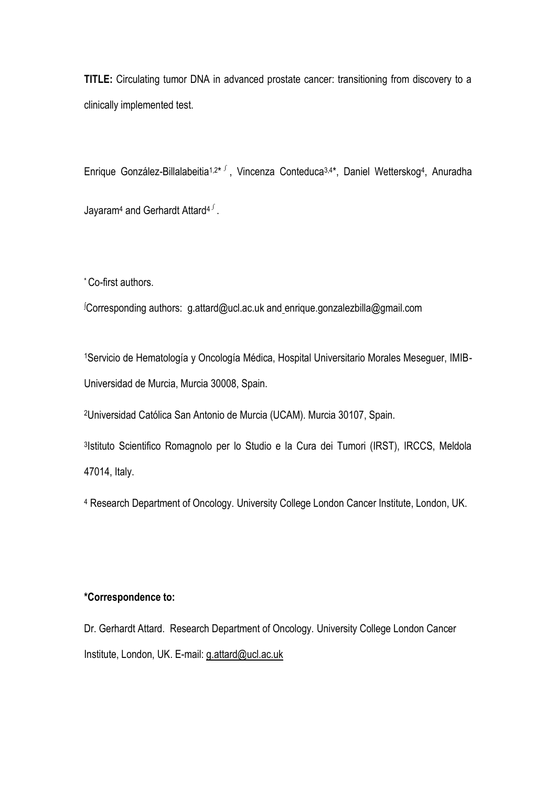**TITLE:** Circulating tumor DNA in advanced prostate cancer: transitioning from discovery to a clinically implemented test.

Enrique González-Billalabeitia<sup>1,2\* J</sup>, Vincenza Conteduca<sup>3,4\*</sup>, Daniel Wetterskog<sup>4</sup>, Anuradha Jayaram<sup>4</sup> and Gerhardt Attard4<sup>∫</sup>.

\* Co-first authors.

<sup>∫</sup>Corresponding authors: g.attard@ucl.ac.uk and enrique.gonzalezbilla@gmail.com

1Servicio de Hematología y Oncología Médica, Hospital Universitario Morales Meseguer, IMIB-Universidad de Murcia, Murcia 30008, Spain.

<sup>2</sup>Universidad Católica San Antonio de Murcia (UCAM). Murcia 30107, Spain.

3 Istituto Scientifico Romagnolo per lo Studio e la Cura dei Tumori (IRST), IRCCS, Meldola 47014, Italy.

<sup>4</sup> Research Department of Oncology. University College London Cancer Institute, London, UK.

## **\*Correspondence to:**

Dr. Gerhardt Attard. Research Department of Oncology. University College London Cancer Institute, London, UK. E-mail[: g.attard@ucl.ac.uk](mailto:g.attard@ucl.ac.uk)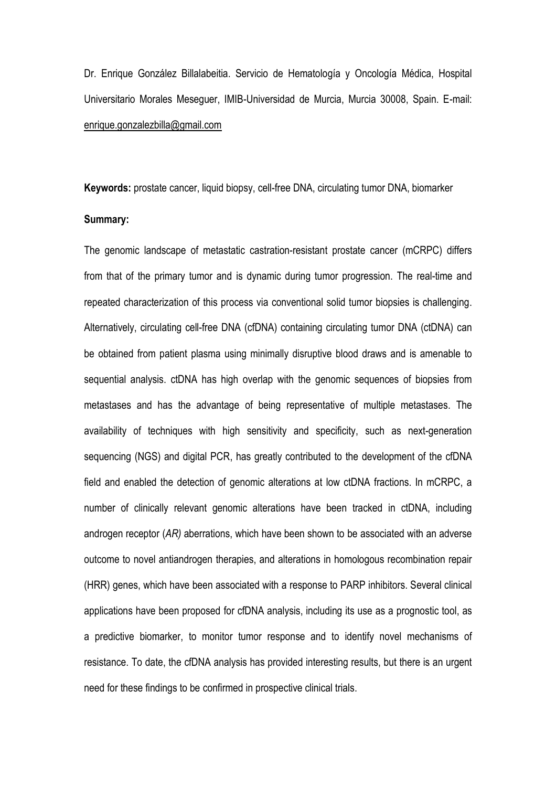Dr. Enrique González Billalabeitia. Servicio de Hematología y Oncología Médica, Hospital Universitario Morales Meseguer, IMIB-Universidad de Murcia, Murcia 30008, Spain. E-mail: [enrique.gonzalezbilla@gmail.com](mailto:enrique.gonzalezbilla@gmail.com)

**Keywords:** prostate cancer, liquid biopsy, cell-free DNA, circulating tumor DNA, biomarker

#### **Summary:**

The genomic landscape of metastatic castration-resistant prostate cancer (mCRPC) differs from that of the primary tumor and is dynamic during tumor progression. The real-time and repeated characterization of this process via conventional solid tumor biopsies is challenging. Alternatively, circulating cell-free DNA (cfDNA) containing circulating tumor DNA (ctDNA) can be obtained from patient plasma using minimally disruptive blood draws and is amenable to sequential analysis. ctDNA has high overlap with the genomic sequences of biopsies from metastases and has the advantage of being representative of multiple metastases. The availability of techniques with high sensitivity and specificity, such as next-generation sequencing (NGS) and digital PCR, has greatly contributed to the development of the cfDNA field and enabled the detection of genomic alterations at low ctDNA fractions. In mCRPC, a number of clinically relevant genomic alterations have been tracked in ctDNA, including androgen receptor (*AR)* aberrations, which have been shown to be associated with an adverse outcome to novel antiandrogen therapies, and alterations in homologous recombination repair (HRR) genes, which have been associated with a response to PARP inhibitors. Several clinical applications have been proposed for cfDNA analysis, including its use as a prognostic tool, as a predictive biomarker, to monitor tumor response and to identify novel mechanisms of resistance. To date, the cfDNA analysis has provided interesting results, but there is an urgent need for these findings to be confirmed in prospective clinical trials.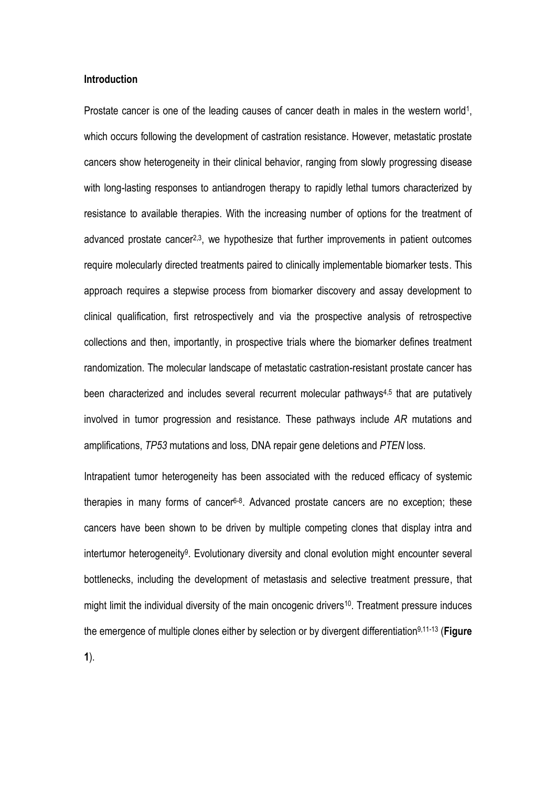## **Introduction**

Prostate cancer is one of the leading causes of cancer death in males in the western world<sup>1</sup>, which occurs following the development of castration resistance. However, metastatic prostate cancers show heterogeneity in their clinical behavior, ranging from slowly progressing disease with long-lasting responses to antiandrogen therapy to rapidly lethal tumors characterized by resistance to available therapies. With the increasing number of options for the treatment of advanced prostate cancer<sup>2,3</sup>, we hypothesize that further improvements in patient outcomes require molecularly directed treatments paired to clinically implementable biomarker tests. This approach requires a stepwise process from biomarker discovery and assay development to clinical qualification, first retrospectively and via the prospective analysis of retrospective collections and then, importantly, in prospective trials where the biomarker defines treatment randomization. The molecular landscape of metastatic castration-resistant prostate cancer has been characterized and includes several recurrent molecular pathways4,5 that are putatively involved in tumor progression and resistance. These pathways include *AR* mutations and amplifications, *TP53* mutations and loss*,* DNA repair gene deletions and *PTEN* loss.

Intrapatient tumor heterogeneity has been associated with the reduced efficacy of systemic therapies in many forms of cancer<sup>6-8</sup>. Advanced prostate cancers are no exception; these cancers have been shown to be driven by multiple competing clones that display intra and intertumor heterogeneity<sup>9</sup>. Evolutionary diversity and clonal evolution might encounter several bottlenecks, including the development of metastasis and selective treatment pressure, that might limit the individual diversity of the main oncogenic drivers<sup>10</sup>. Treatment pressure induces the emergence of multiple clones either by selection or by divergent differentiation9,11-13 (**Figure** 

**1**).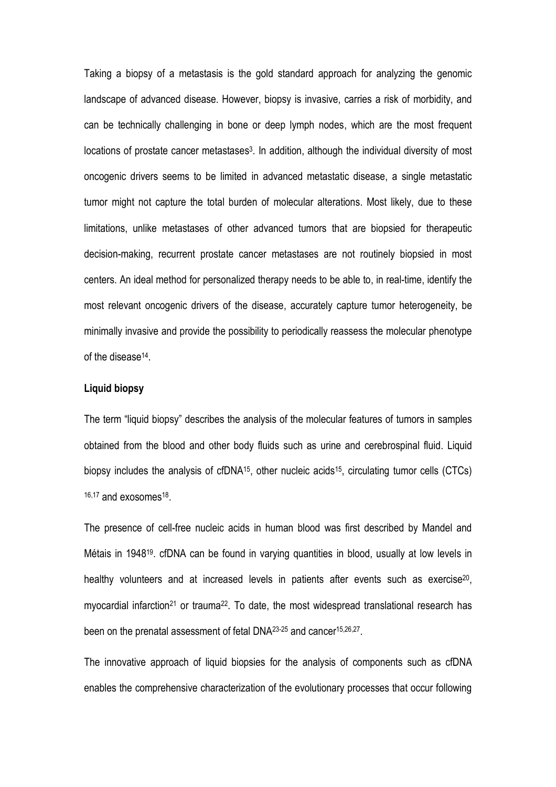Taking a biopsy of a metastasis is the gold standard approach for analyzing the genomic landscape of advanced disease. However, biopsy is invasive, carries a risk of morbidity, and can be technically challenging in bone or deep lymph nodes, which are the most frequent locations of prostate cancer metastases<sup>3</sup>. In addition, although the individual diversity of most oncogenic drivers seems to be limited in advanced metastatic disease, a single metastatic tumor might not capture the total burden of molecular alterations. Most likely, due to these limitations, unlike metastases of other advanced tumors that are biopsied for therapeutic decision-making, recurrent prostate cancer metastases are not routinely biopsied in most centers. An ideal method for personalized therapy needs to be able to, in real-time, identify the most relevant oncogenic drivers of the disease, accurately capture tumor heterogeneity, be minimally invasive and provide the possibility to periodically reassess the molecular phenotype of the disease<sup>14</sup> .

#### **Liquid biopsy**

The term "liquid biopsy" describes the analysis of the molecular features of tumors in samples obtained from the blood and other body fluids such as urine and cerebrospinal fluid. Liquid biopsy includes the analysis of cfDNA<sup>15</sup>, other nucleic acids<sup>15</sup>, circulating tumor cells (CTCs) <sup>16,17</sup> and exosomes<sup>18</sup>.

The presence of cell-free nucleic acids in human blood was first described by Mandel and Métais in 1948<sup>19</sup>. cfDNA can be found in varying quantities in blood, usually at low levels in healthy volunteers and at increased levels in patients after events such as exercise<sup>20</sup>, myocardial infarction<sup>21</sup> or trauma<sup>22</sup>. To date, the most widespread translational research has been on the prenatal assessment of fetal DNA<sup>23-25</sup> and cancer<sup>15,26,27</sup>.

The innovative approach of liquid biopsies for the analysis of components such as cfDNA enables the comprehensive characterization of the evolutionary processes that occur following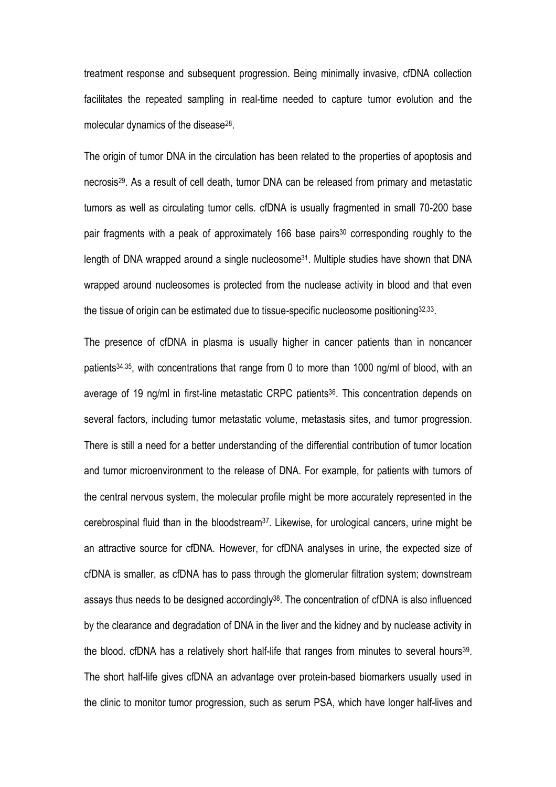treatment response and subsequent progression. Being minimally invasive, cfDNA collection facilitates the repeated sampling in real-time needed to capture tumor evolution and the molecular dynamics of the disease<sup>28</sup> .

The origin of tumor DNA in the circulation has been related to the properties of apoptosis and necrosis<sup>29</sup>. As a result of cell death, tumor DNA can be released from primary and metastatic tumors as well as circulating tumor cells. cfDNA is usually fragmented in small 70-200 base pair fragments with a peak of approximately 166 base pairs<sup>30</sup> corresponding roughly to the length of DNA wrapped around a single nucleosome<sup>31</sup>. Multiple studies have shown that DNA wrapped around nucleosomes is protected from the nuclease activity in blood and that even the tissue of origin can be estimated due to tissue-specific nucleosome positioning $32,33$ .

The presence of cfDNA in plasma is usually higher in cancer patients than in noncancer patients34,35, with concentrations that range from 0 to more than 1000 ng/ml of blood, with an average of 19 ng/ml in first-line metastatic CRPC patients<sup>36</sup>. This concentration depends on several factors, including tumor metastatic volume, metastasis sites, and tumor progression. There is still a need for a better understanding of the differential contribution of tumor location and tumor microenvironment to the release of DNA. For example, for patients with tumors of the central nervous system, the molecular profile might be more accurately represented in the cerebrospinal fluid than in the bloodstream<sup>37</sup>. Likewise, for urological cancers, urine might be an attractive source for cfDNA. However, for cfDNA analyses in urine, the expected size of cfDNA is smaller, as cfDNA has to pass through the glomerular filtration system; downstream assays thus needs to be designed accordingly<sup>38</sup>. The concentration of cfDNA is also influenced by the clearance and degradation of DNA in the liver and the kidney and by nuclease activity in the blood. cfDNA has a relatively short half-life that ranges from minutes to several hours<sup>39</sup>. The short half-life gives cfDNA an advantage over protein-based biomarkers usually used in the clinic to monitor tumor progression, such as serum PSA, which have longer half-lives and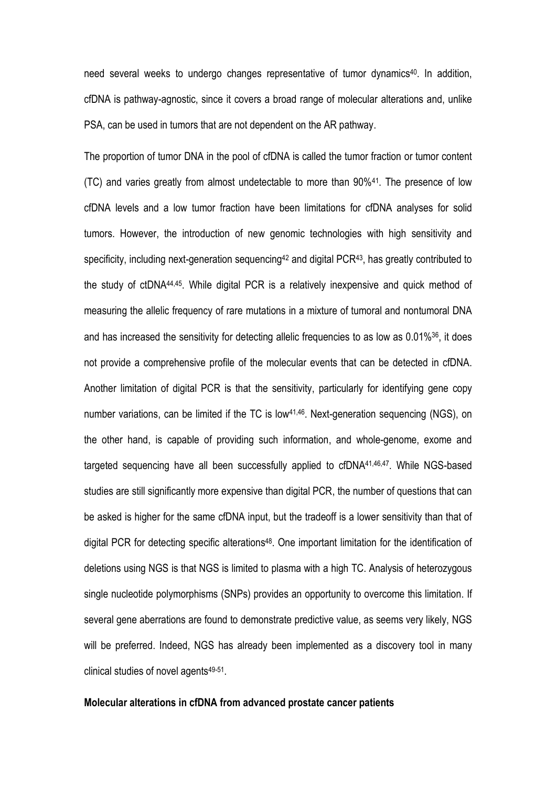need several weeks to undergo changes representative of tumor dynamics<sup>40</sup>. In addition, cfDNA is pathway-agnostic, since it covers a broad range of molecular alterations and, unlike PSA, can be used in tumors that are not dependent on the AR pathway.

The proportion of tumor DNA in the pool of cfDNA is called the tumor fraction or tumor content (TC) and varies greatly from almost undetectable to more than 90%<sup>41</sup> . The presence of low cfDNA levels and a low tumor fraction have been limitations for cfDNA analyses for solid tumors. However, the introduction of new genomic technologies with high sensitivity and specificity, including next-generation sequencing<sup>42</sup> and digital PCR<sup>43</sup>, has greatly contributed to the study of ctDNA<sup>44,45</sup>. While digital PCR is a relatively inexpensive and quick method of measuring the allelic frequency of rare mutations in a mixture of tumoral and nontumoral DNA and has increased the sensitivity for detecting allelic frequencies to as low as 0.01%<sup>36</sup> , it does not provide a comprehensive profile of the molecular events that can be detected in cfDNA. Another limitation of digital PCR is that the sensitivity, particularly for identifying gene copy number variations, can be limited if the TC is low<sup>41,46</sup>. Next-generation sequencing (NGS), on the other hand, is capable of providing such information, and whole-genome, exome and targeted sequencing have all been successfully applied to cfDNA41,46,47. While NGS-based studies are still significantly more expensive than digital PCR, the number of questions that can be asked is higher for the same cfDNA input, but the tradeoff is a lower sensitivity than that of digital PCR for detecting specific alterations<sup>48</sup>. One important limitation for the identification of deletions using NGS is that NGS is limited to plasma with a high TC. Analysis of heterozygous single nucleotide polymorphisms (SNPs) provides an opportunity to overcome this limitation. If several gene aberrations are found to demonstrate predictive value, as seems very likely, NGS will be preferred. Indeed, NGS has already been implemented as a discovery tool in many clinical studies of novel agents<sup>49-51</sup>.

#### **Molecular alterations in cfDNA from advanced prostate cancer patients**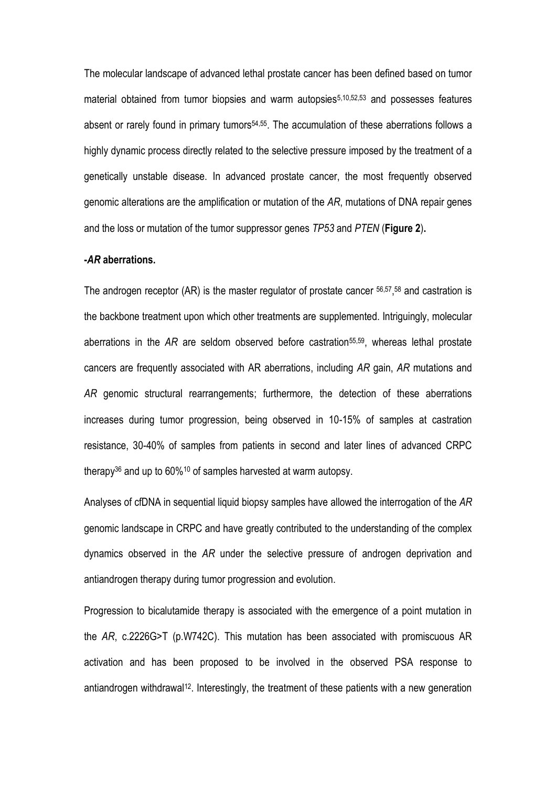The molecular landscape of advanced lethal prostate cancer has been defined based on tumor material obtained from tumor biopsies and warm autopsies5,10,52,53 and possesses features absent or rarely found in primary tumors<sup>54,55</sup>. The accumulation of these aberrations follows a highly dynamic process directly related to the selective pressure imposed by the treatment of a genetically unstable disease. In advanced prostate cancer, the most frequently observed genomic alterations are the amplification or mutation of the *AR*, mutations of DNA repair genes and the loss or mutation of the tumor suppressor genes *TP53* and *PTEN* (**Figure 2**)**.** 

#### **-***AR* **aberrations.**

The androgen receptor (AR) is the master regulator of prostate cancer 56,57 , <sup>58</sup> and castration is the backbone treatment upon which other treatments are supplemented. Intriguingly, molecular aberrations in the AR are seldom observed before castration<sup>55,59</sup>, whereas lethal prostate cancers are frequently associated with AR aberrations, including *AR* gain, *AR* mutations and *AR* genomic structural rearrangements; furthermore, the detection of these aberrations increases during tumor progression, being observed in 10-15% of samples at castration resistance, 30-40% of samples from patients in second and later lines of advanced CRPC therapy<sup>36</sup> and up to 60%<sup>10</sup> of samples harvested at warm autopsy.

Analyses of cfDNA in sequential liquid biopsy samples have allowed the interrogation of the *AR* genomic landscape in CRPC and have greatly contributed to the understanding of the complex dynamics observed in the *AR* under the selective pressure of androgen deprivation and antiandrogen therapy during tumor progression and evolution.

Progression to bicalutamide therapy is associated with the emergence of a point mutation in the *AR*, c.2226G>T (p.W742C). This mutation has been associated with promiscuous AR activation and has been proposed to be involved in the observed PSA response to antiandrogen withdrawal<sup>12</sup>. Interestingly, the treatment of these patients with a new generation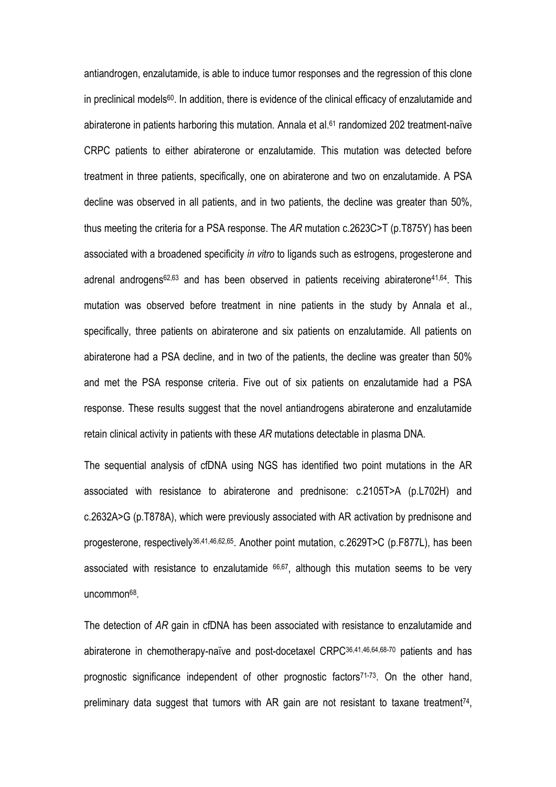antiandrogen, enzalutamide, is able to induce tumor responses and the regression of this clone in preclinical models<sup>60</sup>. In addition, there is evidence of the clinical efficacy of enzalutamide and abiraterone in patients harboring this mutation. Annala et al. <sup>61</sup> randomized 202 treatment-naïve CRPC patients to either abiraterone or enzalutamide. This mutation was detected before treatment in three patients, specifically, one on abiraterone and two on enzalutamide. A PSA decline was observed in all patients, and in two patients, the decline was greater than 50%, thus meeting the criteria for a PSA response. The *AR* mutation c.2623C>T (p.T875Y) has been associated with a broadened specificity *in vitro* to ligands such as estrogens, progesterone and adrenal androgens<sup>62,63</sup> and has been observed in patients receiving abiraterone<sup>41,64</sup>. This mutation was observed before treatment in nine patients in the study by Annala et al., specifically, three patients on abiraterone and six patients on enzalutamide. All patients on abiraterone had a PSA decline, and in two of the patients, the decline was greater than 50% and met the PSA response criteria. Five out of six patients on enzalutamide had a PSA response. These results suggest that the novel antiandrogens abiraterone and enzalutamide retain clinical activity in patients with these *AR* mutations detectable in plasma DNA.

The sequential analysis of cfDNA using NGS has identified two point mutations in the AR associated with resistance to abiraterone and prednisone: c.2105T>A (p.L702H) and c.2632A>G (p.T878A), which were previously associated with AR activation by prednisone and progesterone, respectively<sup>36,41,46,62,65</sup>. Another point mutation, c.2629T>C (p.F877L), has been associated with resistance to enzalutamide  $66,67$ , although this mutation seems to be very uncommon<sup>68</sup>.

The detection of *AR* gain in cfDNA has been associated with resistance to enzalutamide and abiraterone in chemotherapy-naïve and post-docetaxel CRPC36,41,46,64,68-70 patients and has prognostic significance independent of other prognostic factors $71-73$ . On the other hand, preliminary data suggest that tumors with AR gain are not resistant to taxane treatment<sup>74</sup>,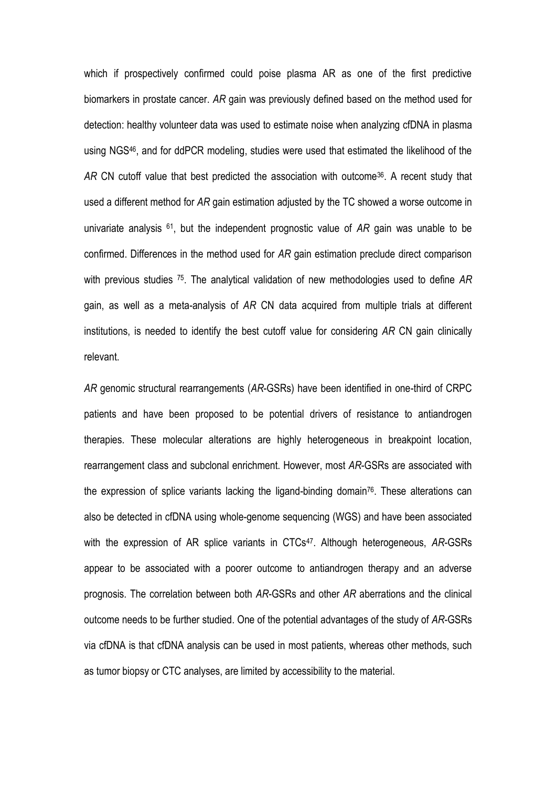which if prospectively confirmed could poise plasma AR as one of the first predictive biomarkers in prostate cancer. *AR* gain was previously defined based on the method used for detection: healthy volunteer data was used to estimate noise when analyzing cfDNA in plasma using NGS<sup>46</sup> , and for ddPCR modeling, studies were used that estimated the likelihood of the AR CN cutoff value that best predicted the association with outcome<sup>36</sup>. A recent study that used a different method for *AR* gain estimation adjusted by the TC showed a worse outcome in univariate analysis <sup>61</sup> , but the independent prognostic value of *AR* gain was unable to be confirmed. Differences in the method used for *AR* gain estimation preclude direct comparison with previous studies <sup>75</sup> . The analytical validation of new methodologies used to define *AR* gain, as well as a meta-analysis of *AR* CN data acquired from multiple trials at different institutions, is needed to identify the best cutoff value for considering *AR* CN gain clinically relevant.

*AR* genomic structural rearrangements (*AR*-GSRs) have been identified in one-third of CRPC patients and have been proposed to be potential drivers of resistance to antiandrogen therapies. These molecular alterations are highly heterogeneous in breakpoint location, rearrangement class and subclonal enrichment. However, most *AR*-GSRs are associated with the expression of splice variants lacking the ligand-binding domain<sup>76</sup>. These alterations can also be detected in cfDNA using whole-genome sequencing (WGS) and have been associated with the expression of AR splice variants in CTCs<sup>47</sup>. Although heterogeneous, AR-GSRs appear to be associated with a poorer outcome to antiandrogen therapy and an adverse prognosis. The correlation between both *AR*-GSRs and other *AR* aberrations and the clinical outcome needs to be further studied. One of the potential advantages of the study of *AR*-GSRs via cfDNA is that cfDNA analysis can be used in most patients, whereas other methods, such as tumor biopsy or CTC analyses, are limited by accessibility to the material.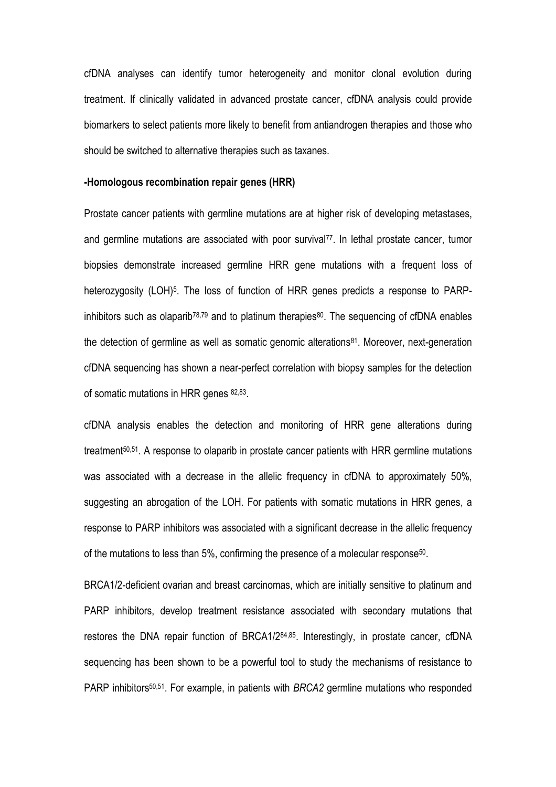cfDNA analyses can identify tumor heterogeneity and monitor clonal evolution during treatment. If clinically validated in advanced prostate cancer, cfDNA analysis could provide biomarkers to select patients more likely to benefit from antiandrogen therapies and those who should be switched to alternative therapies such as taxanes.

## **-Homologous recombination repair genes (HRR)**

Prostate cancer patients with germline mutations are at higher risk of developing metastases, and germline mutations are associated with poor survival<sup>77</sup>. In lethal prostate cancer, tumor biopsies demonstrate increased germline HRR gene mutations with a frequent loss of heterozygosity (LOH)<sup>5</sup>. The loss of function of HRR genes predicts a response to PARPinhibitors such as olaparib<sup>78,79</sup> and to platinum therapies<sup>80</sup>. The sequencing of cfDNA enables the detection of germline as well as somatic genomic alterations<sup>81</sup>. Moreover, next-generation cfDNA sequencing has shown a near-perfect correlation with biopsy samples for the detection of somatic mutations in HRR genes <sup>82,83</sup>.

cfDNA analysis enables the detection and monitoring of HRR gene alterations during treatment<sup>50,51</sup>. A response to olaparib in prostate cancer patients with HRR germline mutations was associated with a decrease in the allelic frequency in cfDNA to approximately 50%, suggesting an abrogation of the LOH. For patients with somatic mutations in HRR genes, a response to PARP inhibitors was associated with a significant decrease in the allelic frequency of the mutations to less than 5%, confirming the presence of a molecular response<sup>50</sup>.

BRCA1/2-deficient ovarian and breast carcinomas, which are initially sensitive to platinum and PARP inhibitors, develop treatment resistance associated with secondary mutations that restores the DNA repair function of BRCA1/284,85 . Interestingly, in prostate cancer, cfDNA sequencing has been shown to be a powerful tool to study the mechanisms of resistance to PARP inhibitors50,51. For example, in patients with *BRCA2* germline mutations who responded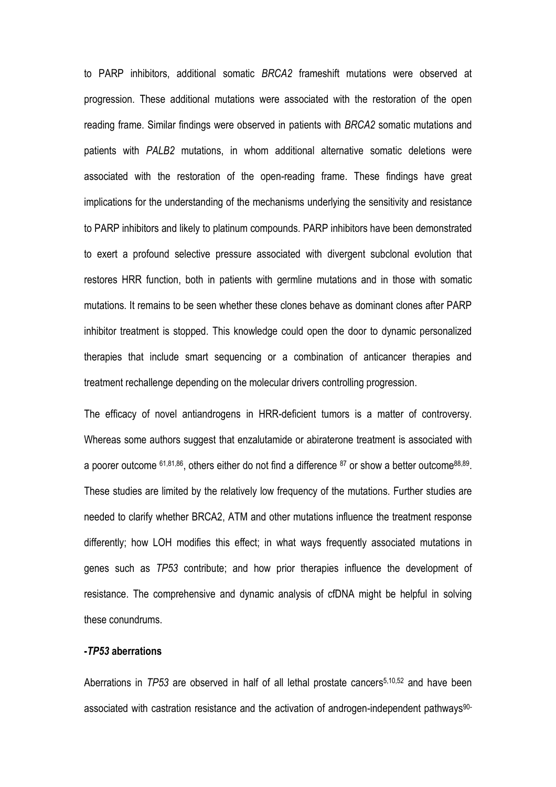to PARP inhibitors, additional somatic *BRCA2* frameshift mutations were observed at progression. These additional mutations were associated with the restoration of the open reading frame. Similar findings were observed in patients with *BRCA2* somatic mutations and patients with *PALB2* mutations, in whom additional alternative somatic deletions were associated with the restoration of the open-reading frame. These findings have great implications for the understanding of the mechanisms underlying the sensitivity and resistance to PARP inhibitors and likely to platinum compounds. PARP inhibitors have been demonstrated to exert a profound selective pressure associated with divergent subclonal evolution that restores HRR function, both in patients with germline mutations and in those with somatic mutations. It remains to be seen whether these clones behave as dominant clones after PARP inhibitor treatment is stopped. This knowledge could open the door to dynamic personalized therapies that include smart sequencing or a combination of anticancer therapies and treatment rechallenge depending on the molecular drivers controlling progression.

The efficacy of novel antiandrogens in HRR-deficient tumors is a matter of controversy. Whereas some authors suggest that enzalutamide or abiraterone treatment is associated with a poorer outcome <sup>61,81,86</sup>, others either do not find a difference <sup>87</sup> or show a better outcome<sup>88,89</sup>. These studies are limited by the relatively low frequency of the mutations. Further studies are needed to clarify whether BRCA2, ATM and other mutations influence the treatment response differently; how LOH modifies this effect; in what ways frequently associated mutations in genes such as *TP53* contribute; and how prior therapies influence the development of resistance. The comprehensive and dynamic analysis of cfDNA might be helpful in solving these conundrums.

## **-***TP53* **aberrations**

Aberrations in *TP53* are observed in half of all lethal prostate cancers 5,10,52 and have been associated with castration resistance and the activation of androgen-independent pathways<sup>90-</sup>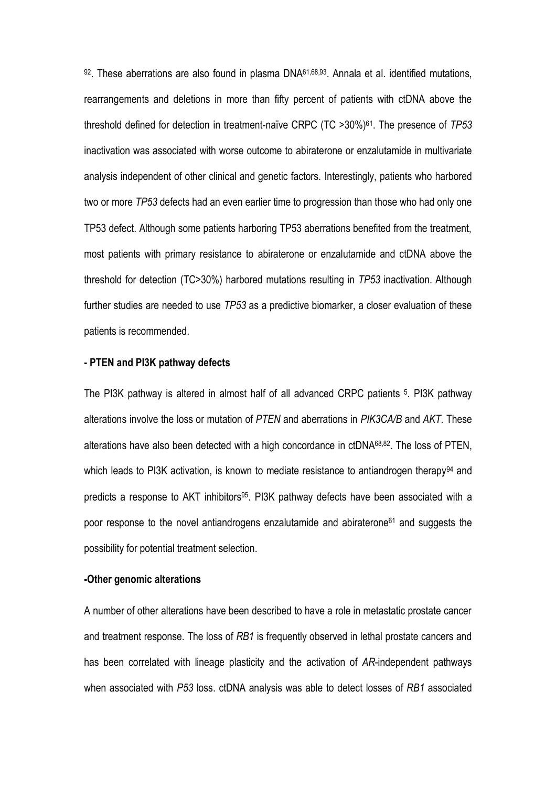92. These aberrations are also found in plasma DNA<sup>61,68,93</sup>. Annala et al. identified mutations, rearrangements and deletions in more than fifty percent of patients with ctDNA above the threshold defined for detection in treatment-naïve CRPC (TC >30%)61. The presence of *TP53* inactivation was associated with worse outcome to abiraterone or enzalutamide in multivariate analysis independent of other clinical and genetic factors. Interestingly, patients who harbored two or more *TP53* defects had an even earlier time to progression than those who had only one TP53 defect. Although some patients harboring TP53 aberrations benefited from the treatment, most patients with primary resistance to abiraterone or enzalutamide and ctDNA above the threshold for detection (TC>30%) harbored mutations resulting in *TP53* inactivation. Although further studies are needed to use *TP53* as a predictive biomarker, a closer evaluation of these patients is recommended.

## **- PTEN and PI3K pathway defects**

The PI3K pathway is altered in almost half of all advanced CRPC patients <sup>5</sup>. PI3K pathway alterations involve the loss or mutation of *PTEN* and aberrations in *PIK3CA/B* and *AKT*. These alterations have also been detected with a high concordance in ctDNA68,82 . The loss of PTEN, which leads to PI3K activation, is known to mediate resistance to antiandrogen therapy<sup>94</sup> and predicts a response to AKT inhibitors<sup>95</sup>. PI3K pathway defects have been associated with a poor response to the novel antiandrogens enzalutamide and abiraterone<sup>61</sup> and suggests the possibility for potential treatment selection.

#### **-Other genomic alterations**

A number of other alterations have been described to have a role in metastatic prostate cancer and treatment response. The loss of *RB1* is frequently observed in lethal prostate cancers and has been correlated with lineage plasticity and the activation of *AR*-independent pathways when associated with *P53* loss. ctDNA analysis was able to detect losses of *RB1* associated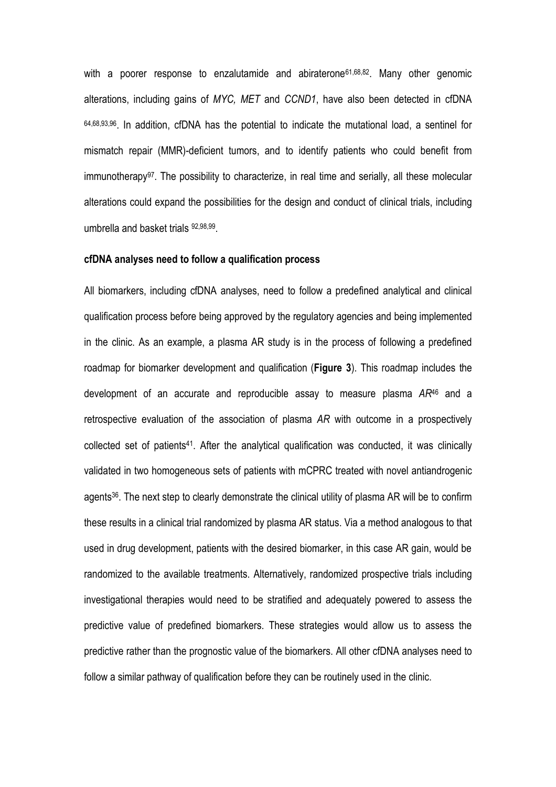with a poorer response to enzalutamide and abiraterone<sup>61,68,82</sup>. Many other genomic alterations, including gains of *MYC, MET* and *CCND1*, have also been detected in cfDNA 64,68,93,96 . In addition, cfDNA has the potential to indicate the mutational load, a sentinel for mismatch repair (MMR)-deficient tumors, and to identify patients who could benefit from immunotherapy<sup>97</sup>. The possibility to characterize, in real time and serially, all these molecular alterations could expand the possibilities for the design and conduct of clinical trials, including umbrella and basket trials 92,98,99.

#### **cfDNA analyses need to follow a qualification process**

All biomarkers, including cfDNA analyses, need to follow a predefined analytical and clinical qualification process before being approved by the regulatory agencies and being implemented in the clinic. As an example, a plasma AR study is in the process of following a predefined roadmap for biomarker development and qualification (**Figure 3**). This roadmap includes the development of an accurate and reproducible assay to measure plasma *AR*<sup>46</sup> and a retrospective evaluation of the association of plasma *AR* with outcome in a prospectively collected set of patients<sup>41</sup>. After the analytical qualification was conducted, it was clinically validated in two homogeneous sets of patients with mCPRC treated with novel antiandrogenic agents<sup>36</sup>. The next step to clearly demonstrate the clinical utility of plasma AR will be to confirm these results in a clinical trial randomized by plasma AR status. Via a method analogous to that used in drug development, patients with the desired biomarker, in this case AR gain, would be randomized to the available treatments. Alternatively, randomized prospective trials including investigational therapies would need to be stratified and adequately powered to assess the predictive value of predefined biomarkers. These strategies would allow us to assess the predictive rather than the prognostic value of the biomarkers. All other cfDNA analyses need to follow a similar pathway of qualification before they can be routinely used in the clinic.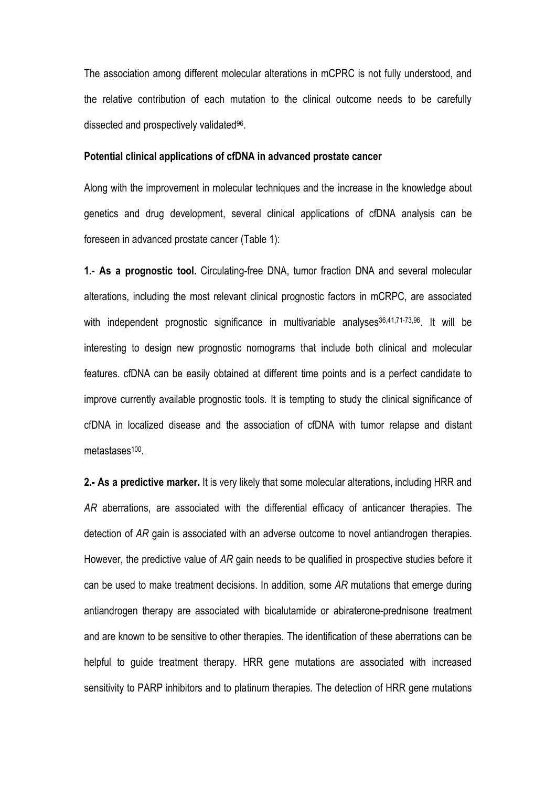The association among different molecular alterations in mCPRC is not fully understood, and the relative contribution of each mutation to the clinical outcome needs to be carefully dissected and prospectively validated<sup>96</sup> .

#### **Potential clinical applications of cfDNA in advanced prostate cancer**

Along with the improvement in molecular techniques and the increase in the knowledge about genetics and drug development, several clinical applications of cfDNA analysis can be foreseen in advanced prostate cancer (Table 1):

**1.- As a prognostic tool.** Circulating-free DNA, tumor fraction DNA and several molecular alterations, including the most relevant clinical prognostic factors in mCRPC, are associated with independent prognostic significance in multivariable analyses<sup>36,41,71-73,96</sup>. It will be interesting to design new prognostic nomograms that include both clinical and molecular features. cfDNA can be easily obtained at different time points and is a perfect candidate to improve currently available prognostic tools. It is tempting to study the clinical significance of cfDNA in localized disease and the association of cfDNA with tumor relapse and distant metastases<sup>100</sup>.

**2.- As a predictive marker.** It is very likely that some molecular alterations, including HRR and *AR* aberrations, are associated with the differential efficacy of anticancer therapies. The detection of *AR* gain is associated with an adverse outcome to novel antiandrogen therapies. However, the predictive value of *AR* gain needs to be qualified in prospective studies before it can be used to make treatment decisions. In addition, some *AR* mutations that emerge during antiandrogen therapy are associated with bicalutamide or abiraterone-prednisone treatment and are known to be sensitive to other therapies. The identification of these aberrations can be helpful to guide treatment therapy. HRR gene mutations are associated with increased sensitivity to PARP inhibitors and to platinum therapies. The detection of HRR gene mutations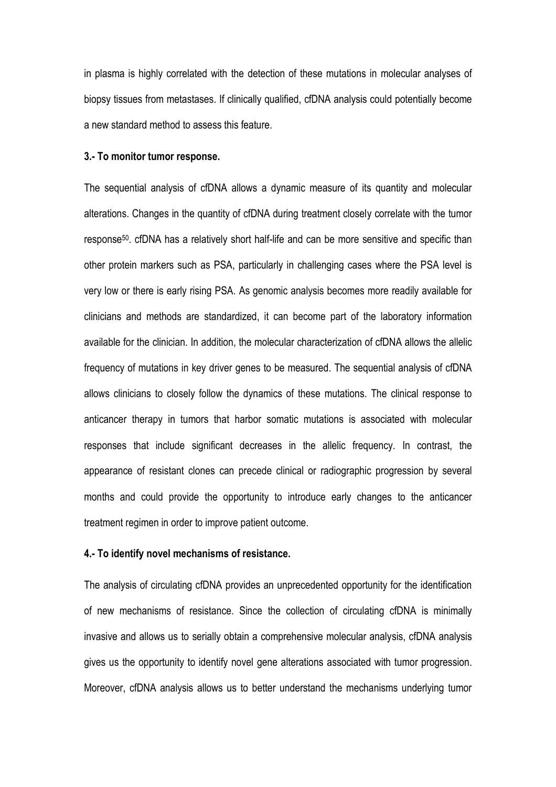in plasma is highly correlated with the detection of these mutations in molecular analyses of biopsy tissues from metastases. If clinically qualified, cfDNA analysis could potentially become a new standard method to assess this feature.

## **3.- To monitor tumor response.**

The sequential analysis of cfDNA allows a dynamic measure of its quantity and molecular alterations. Changes in the quantity of cfDNA during treatment closely correlate with the tumor response50. cfDNA has a relatively short half-life and can be more sensitive and specific than other protein markers such as PSA, particularly in challenging cases where the PSA level is very low or there is early rising PSA. As genomic analysis becomes more readily available for clinicians and methods are standardized, it can become part of the laboratory information available for the clinician. In addition, the molecular characterization of cfDNA allows the allelic frequency of mutations in key driver genes to be measured. The sequential analysis of cfDNA allows clinicians to closely follow the dynamics of these mutations. The clinical response to anticancer therapy in tumors that harbor somatic mutations is associated with molecular responses that include significant decreases in the allelic frequency. In contrast, the appearance of resistant clones can precede clinical or radiographic progression by several months and could provide the opportunity to introduce early changes to the anticancer treatment regimen in order to improve patient outcome.

#### **4.- To identify novel mechanisms of resistance.**

The analysis of circulating cfDNA provides an unprecedented opportunity for the identification of new mechanisms of resistance. Since the collection of circulating cfDNA is minimally invasive and allows us to serially obtain a comprehensive molecular analysis, cfDNA analysis gives us the opportunity to identify novel gene alterations associated with tumor progression. Moreover, cfDNA analysis allows us to better understand the mechanisms underlying tumor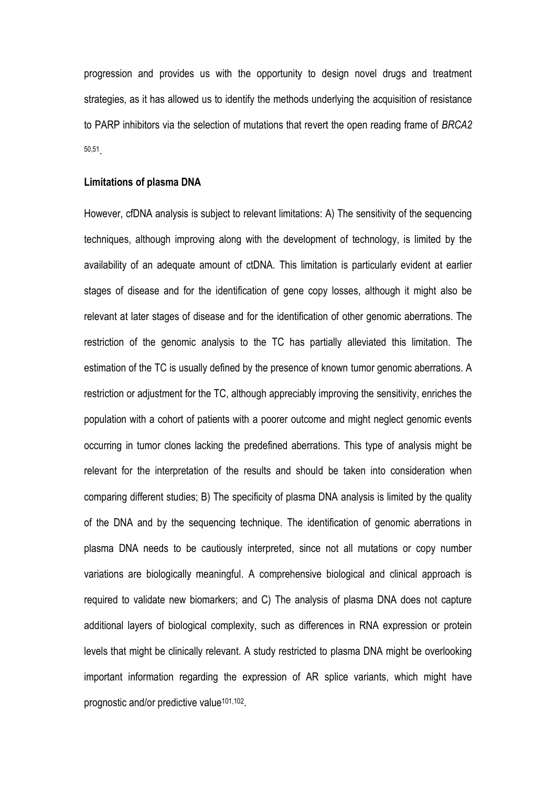progression and provides us with the opportunity to design novel drugs and treatment strategies, as it has allowed us to identify the methods underlying the acquisition of resistance to PARP inhibitors via the selection of mutations that revert the open reading frame of *BRCA2* 50,51 .

#### **Limitations of plasma DNA**

However, cfDNA analysis is subject to relevant limitations: A) The sensitivity of the sequencing techniques, although improving along with the development of technology, is limited by the availability of an adequate amount of ctDNA. This limitation is particularly evident at earlier stages of disease and for the identification of gene copy losses, although it might also be relevant at later stages of disease and for the identification of other genomic aberrations. The restriction of the genomic analysis to the TC has partially alleviated this limitation. The estimation of the TC is usually defined by the presence of known tumor genomic aberrations. A restriction or adjustment for the TC, although appreciably improving the sensitivity, enriches the population with a cohort of patients with a poorer outcome and might neglect genomic events occurring in tumor clones lacking the predefined aberrations. This type of analysis might be relevant for the interpretation of the results and should be taken into consideration when comparing different studies; B) The specificity of plasma DNA analysis is limited by the quality of the DNA and by the sequencing technique. The identification of genomic aberrations in plasma DNA needs to be cautiously interpreted, since not all mutations or copy number variations are biologically meaningful. A comprehensive biological and clinical approach is required to validate new biomarkers; and C) The analysis of plasma DNA does not capture additional layers of biological complexity, such as differences in RNA expression or protein levels that might be clinically relevant. A study restricted to plasma DNA might be overlooking important information regarding the expression of AR splice variants, which might have prognostic and/or predictive value<sup>101,102</sup>.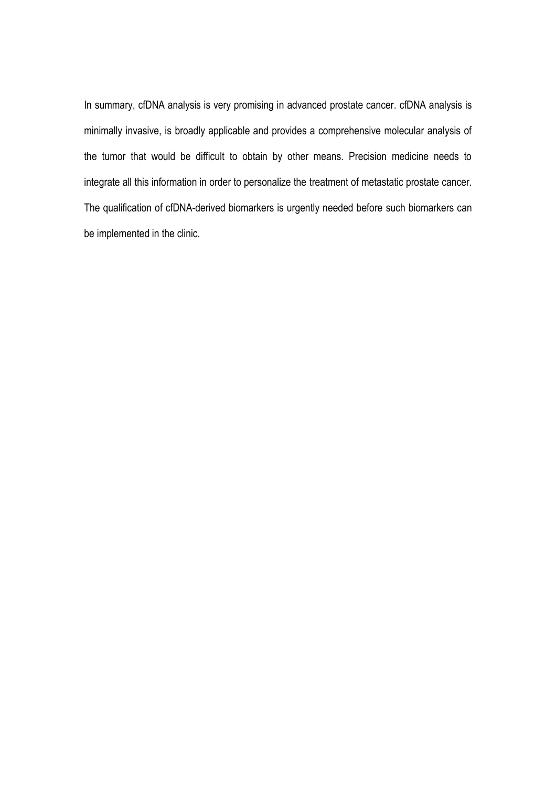In summary, cfDNA analysis is very promising in advanced prostate cancer. cfDNA analysis is minimally invasive, is broadly applicable and provides a comprehensive molecular analysis of the tumor that would be difficult to obtain by other means. Precision medicine needs to integrate all this information in order to personalize the treatment of metastatic prostate cancer. The qualification of cfDNA-derived biomarkers is urgently needed before such biomarkers can be implemented in the clinic.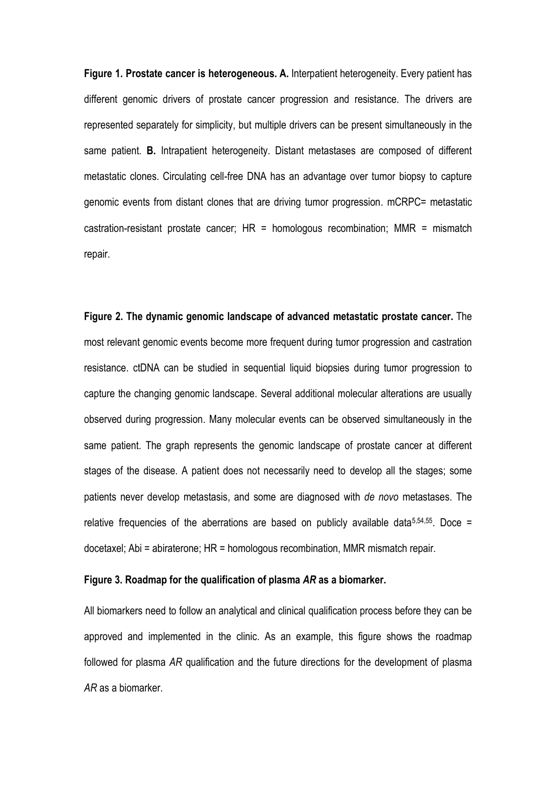**Figure 1. Prostate cancer is heterogeneous. A.** Interpatient heterogeneity. Every patient has different genomic drivers of prostate cancer progression and resistance. The drivers are represented separately for simplicity, but multiple drivers can be present simultaneously in the same patient. **B.** Intrapatient heterogeneity. Distant metastases are composed of different metastatic clones. Circulating cell-free DNA has an advantage over tumor biopsy to capture genomic events from distant clones that are driving tumor progression. mCRPC= metastatic castration-resistant prostate cancer; HR = homologous recombination; MMR = mismatch repair.

**Figure 2. The dynamic genomic landscape of advanced metastatic prostate cancer.** The most relevant genomic events become more frequent during tumor progression and castration resistance. ctDNA can be studied in sequential liquid biopsies during tumor progression to capture the changing genomic landscape. Several additional molecular alterations are usually observed during progression. Many molecular events can be observed simultaneously in the same patient. The graph represents the genomic landscape of prostate cancer at different stages of the disease. A patient does not necessarily need to develop all the stages; some patients never develop metastasis, and some are diagnosed with *de novo* metastases. The relative frequencies of the aberrations are based on publicly available data<sup>5,54,55</sup>. Doce = docetaxel; Abi = abiraterone; HR = homologous recombination, MMR mismatch repair.

## **Figure 3. Roadmap for the qualification of plasma** *AR* **as a biomarker.**

All biomarkers need to follow an analytical and clinical qualification process before they can be approved and implemented in the clinic. As an example, this figure shows the roadmap followed for plasma *AR* qualification and the future directions for the development of plasma *AR* as a biomarker.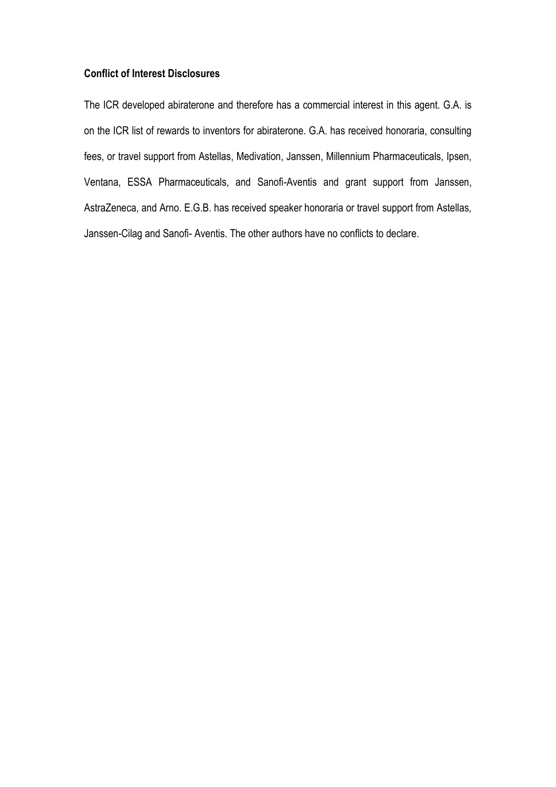## **Conflict of Interest Disclosures**

The ICR developed abiraterone and therefore has a commercial interest in this agent. G.A. is on the ICR list of rewards to inventors for abiraterone. G.A. has received honoraria, consulting fees, or travel support from Astellas, Medivation, Janssen, Millennium Pharmaceuticals, Ipsen, Ventana, ESSA Pharmaceuticals, and Sanofi-Aventis and grant support from Janssen, AstraZeneca, and Arno. E.G.B. has received speaker honoraria or travel support from Astellas, Janssen-Cilag and Sanofi- Aventis. The other authors have no conflicts to declare.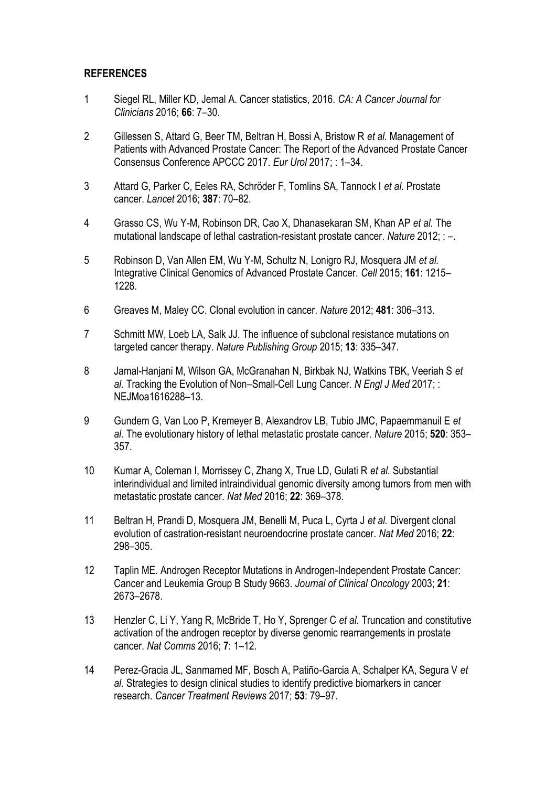## **REFERENCES**

- 1 Siegel RL, Miller KD, Jemal A. Cancer statistics, 2016. *CA: A Cancer Journal for Clinicians* 2016; **66**: 7–30.
- 2 Gillessen S, Attard G, Beer TM, Beltran H, Bossi A, Bristow R *et al.* Management of Patients with Advanced Prostate Cancer: The Report of the Advanced Prostate Cancer Consensus Conference APCCC 2017. *Eur Urol* 2017; : 1–34.
- 3 Attard G, Parker C, Eeles RA, Schröder F, Tomlins SA, Tannock I *et al.* Prostate cancer. *Lancet* 2016; **387**: 70–82.
- 4 Grasso CS, Wu Y-M, Robinson DR, Cao X, Dhanasekaran SM, Khan AP *et al.* The mutational landscape of lethal castration-resistant prostate cancer. *Nature* 2012; : –.
- 5 Robinson D, Van Allen EM, Wu Y-M, Schultz N, Lonigro RJ, Mosquera JM *et al.* Integrative Clinical Genomics of Advanced Prostate Cancer. *Cell* 2015; **161**: 1215– 1228.
- 6 Greaves M, Maley CC. Clonal evolution in cancer. *Nature* 2012; **481**: 306–313.
- 7 Schmitt MW, Loeb LA, Salk JJ. The influence of subclonal resistance mutations on targeted cancer therapy. *Nature Publishing Group* 2015; **13**: 335–347.
- 8 Jamal-Hanjani M, Wilson GA, McGranahan N, Birkbak NJ, Watkins TBK, Veeriah S *et al.* Tracking the Evolution of Non–Small-Cell Lung Cancer. *N Engl J Med* 2017; : NEJMoa1616288–13.
- 9 Gundem G, Van Loo P, Kremeyer B, Alexandrov LB, Tubio JMC, Papaemmanuil E *et al.* The evolutionary history of lethal metastatic prostate cancer. *Nature* 2015; **520**: 353– 357.
- 10 Kumar A, Coleman I, Morrissey C, Zhang X, True LD, Gulati R *et al.* Substantial interindividual and limited intraindividual genomic diversity among tumors from men with metastatic prostate cancer. *Nat Med* 2016; **22**: 369–378.
- 11 Beltran H, Prandi D, Mosquera JM, Benelli M, Puca L, Cyrta J *et al.* Divergent clonal evolution of castration-resistant neuroendocrine prostate cancer. *Nat Med* 2016; **22**: 298–305.
- 12 Taplin ME. Androgen Receptor Mutations in Androgen-Independent Prostate Cancer: Cancer and Leukemia Group B Study 9663. *Journal of Clinical Oncology* 2003; **21**: 2673–2678.
- 13 Henzler C, Li Y, Yang R, McBride T, Ho Y, Sprenger C *et al.* Truncation and constitutive activation of the androgen receptor by diverse genomic rearrangements in prostate cancer. *Nat Comms* 2016; **7**: 1–12.
- 14 Perez-Gracia JL, Sanmamed MF, Bosch A, Patiño-Garcia A, Schalper KA, Segura V *et al.* Strategies to design clinical studies to identify predictive biomarkers in cancer research. *Cancer Treatment Reviews* 2017; **53**: 79–97.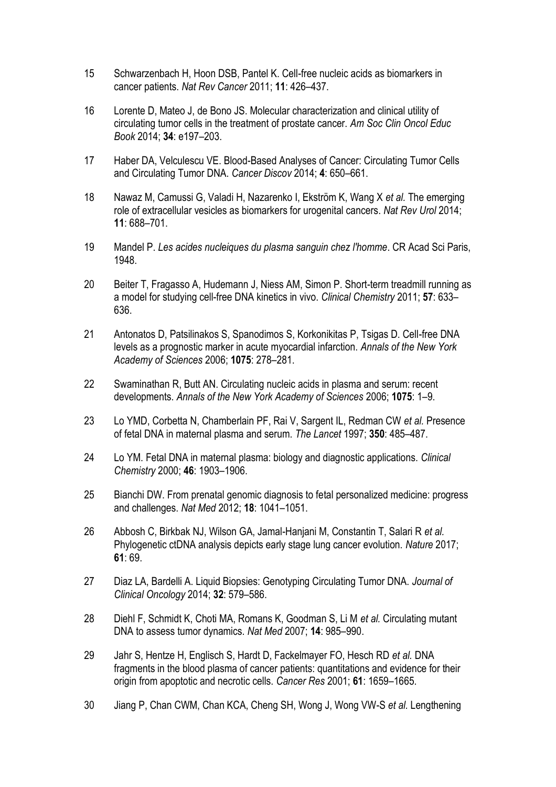- 15 Schwarzenbach H, Hoon DSB, Pantel K. Cell-free nucleic acids as biomarkers in cancer patients. *Nat Rev Cancer* 2011; **11**: 426–437.
- 16 Lorente D, Mateo J, de Bono JS. Molecular characterization and clinical utility of circulating tumor cells in the treatment of prostate cancer. *Am Soc Clin Oncol Educ Book* 2014; **34**: e197–203.
- 17 Haber DA, Velculescu VE. Blood-Based Analyses of Cancer: Circulating Tumor Cells and Circulating Tumor DNA. *Cancer Discov* 2014; **4**: 650–661.
- 18 Nawaz M, Camussi G, Valadi H, Nazarenko I, Ekström K, Wang X *et al.* The emerging role of extracellular vesicles as biomarkers for urogenital cancers. *Nat Rev Urol* 2014; **11**: 688–701.
- 19 Mandel P. *Les acides nucleiques du plasma sanguin chez l'homme*. CR Acad Sci Paris, 1948.
- 20 Beiter T, Fragasso A, Hudemann J, Niess AM, Simon P. Short-term treadmill running as a model for studying cell-free DNA kinetics in vivo. *Clinical Chemistry* 2011; **57**: 633– 636.
- 21 Antonatos D, Patsilinakos S, Spanodimos S, Korkonikitas P, Tsigas D. Cell-free DNA levels as a prognostic marker in acute myocardial infarction. *Annals of the New York Academy of Sciences* 2006; **1075**: 278–281.
- 22 Swaminathan R, Butt AN. Circulating nucleic acids in plasma and serum: recent developments. *Annals of the New York Academy of Sciences* 2006; **1075**: 1–9.
- 23 Lo YMD, Corbetta N, Chamberlain PF, Rai V, Sargent IL, Redman CW *et al.* Presence of fetal DNA in maternal plasma and serum. *The Lancet* 1997; **350**: 485–487.
- 24 Lo YM. Fetal DNA in maternal plasma: biology and diagnostic applications. *Clinical Chemistry* 2000; **46**: 1903–1906.
- 25 Bianchi DW. From prenatal genomic diagnosis to fetal personalized medicine: progress and challenges. *Nat Med* 2012; **18**: 1041–1051.
- 26 Abbosh C, Birkbak NJ, Wilson GA, Jamal-Hanjani M, Constantin T, Salari R *et al.* Phylogenetic ctDNA analysis depicts early stage lung cancer evolution. *Nature* 2017; **61**: 69.
- 27 Diaz LA, Bardelli A. Liquid Biopsies: Genotyping Circulating Tumor DNA. *Journal of Clinical Oncology* 2014; **32**: 579–586.
- 28 Diehl F, Schmidt K, Choti MA, Romans K, Goodman S, Li M *et al.* Circulating mutant DNA to assess tumor dynamics. *Nat Med* 2007; **14**: 985–990.
- 29 Jahr S, Hentze H, Englisch S, Hardt D, Fackelmayer FO, Hesch RD *et al.* DNA fragments in the blood plasma of cancer patients: quantitations and evidence for their origin from apoptotic and necrotic cells. *Cancer Res* 2001; **61**: 1659–1665.
- 30 Jiang P, Chan CWM, Chan KCA, Cheng SH, Wong J, Wong VW-S *et al.* Lengthening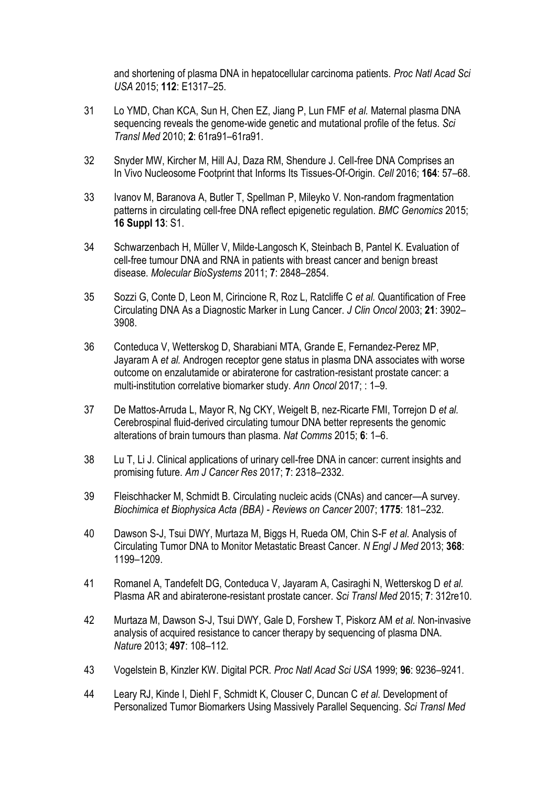and shortening of plasma DNA in hepatocellular carcinoma patients. *Proc Natl Acad Sci USA* 2015; **112**: E1317–25.

- 31 Lo YMD, Chan KCA, Sun H, Chen EZ, Jiang P, Lun FMF *et al.* Maternal plasma DNA sequencing reveals the genome-wide genetic and mutational profile of the fetus. *Sci Transl Med* 2010; **2**: 61ra91–61ra91.
- 32 Snyder MW, Kircher M, Hill AJ, Daza RM, Shendure J. Cell-free DNA Comprises an In Vivo Nucleosome Footprint that Informs Its Tissues-Of-Origin. *Cell* 2016; **164**: 57–68.
- 33 Ivanov M, Baranova A, Butler T, Spellman P, Mileyko V. Non-random fragmentation patterns in circulating cell-free DNA reflect epigenetic regulation. *BMC Genomics* 2015; **16 Suppl 13**: S1.
- 34 Schwarzenbach H, Müller V, Milde-Langosch K, Steinbach B, Pantel K. Evaluation of cell-free tumour DNA and RNA in patients with breast cancer and benign breast disease. *Molecular BioSystems* 2011; **7**: 2848–2854.
- 35 Sozzi G, Conte D, Leon M, Cirincione R, Roz L, Ratcliffe C *et al.* Quantification of Free Circulating DNA As a Diagnostic Marker in Lung Cancer. *J Clin Oncol* 2003; **21**: 3902– 3908.
- 36 Conteduca V, Wetterskog D, Sharabiani MTA, Grande E, Fernandez-Perez MP, Jayaram A *et al.* Androgen receptor gene status in plasma DNA associates with worse outcome on enzalutamide or abiraterone for castration-resistant prostate cancer: a multi-institution correlative biomarker study. *Ann Oncol* 2017; : 1–9.
- 37 De Mattos-Arruda L, Mayor R, Ng CKY, Weigelt B, nez-Ricarte FMI, Torrejon D *et al.* Cerebrospinal fluid-derived circulating tumour DNA better represents the genomic alterations of brain tumours than plasma. *Nat Comms* 2015; **6**: 1–6.
- 38 Lu T, Li J. Clinical applications of urinary cell-free DNA in cancer: current insights and promising future. *Am J Cancer Res* 2017; **7**: 2318–2332.
- 39 Fleischhacker M, Schmidt B. Circulating nucleic acids (CNAs) and cancer—A survey. *Biochimica et Biophysica Acta (BBA) - Reviews on Cancer* 2007; **1775**: 181–232.
- 40 Dawson S-J, Tsui DWY, Murtaza M, Biggs H, Rueda OM, Chin S-F *et al.* Analysis of Circulating Tumor DNA to Monitor Metastatic Breast Cancer. *N Engl J Med* 2013; **368**: 1199–1209.
- 41 Romanel A, Tandefelt DG, Conteduca V, Jayaram A, Casiraghi N, Wetterskog D *et al.* Plasma AR and abiraterone-resistant prostate cancer. *Sci Transl Med* 2015; **7**: 312re10.
- 42 Murtaza M, Dawson S-J, Tsui DWY, Gale D, Forshew T, Piskorz AM *et al.* Non-invasive analysis of acquired resistance to cancer therapy by sequencing of plasma DNA. *Nature* 2013; **497**: 108–112.
- 43 Vogelstein B, Kinzler KW. Digital PCR. *Proc Natl Acad Sci USA* 1999; **96**: 9236–9241.
- 44 Leary RJ, Kinde I, Diehl F, Schmidt K, Clouser C, Duncan C *et al.* Development of Personalized Tumor Biomarkers Using Massively Parallel Sequencing. *Sci Transl Med*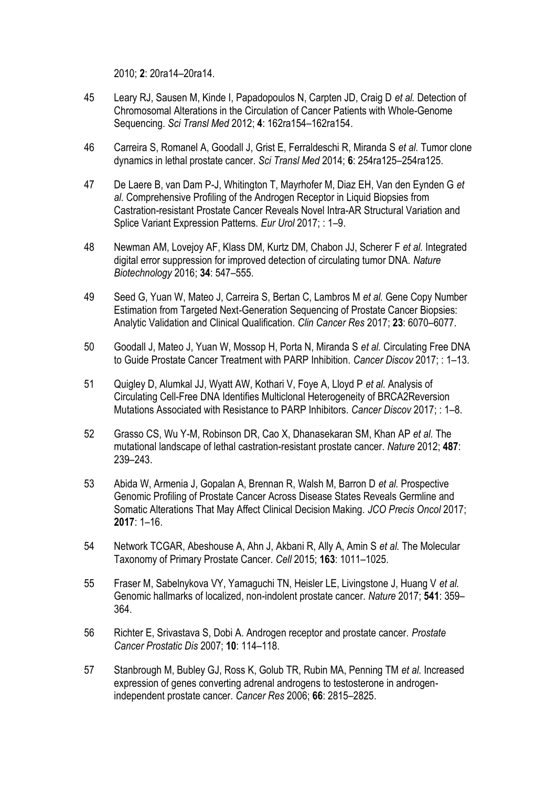2010; **2**: 20ra14–20ra14.

- 45 Leary RJ, Sausen M, Kinde I, Papadopoulos N, Carpten JD, Craig D *et al.* Detection of Chromosomal Alterations in the Circulation of Cancer Patients with Whole-Genome Sequencing. *Sci Transl Med* 2012; **4**: 162ra154–162ra154.
- 46 Carreira S, Romanel A, Goodall J, Grist E, Ferraldeschi R, Miranda S *et al.* Tumor clone dynamics in lethal prostate cancer. *Sci Transl Med* 2014; **6**: 254ra125–254ra125.
- 47 De Laere B, van Dam P-J, Whitington T, Mayrhofer M, Diaz EH, Van den Eynden G *et al.* Comprehensive Profiling of the Androgen Receptor in Liquid Biopsies from Castration-resistant Prostate Cancer Reveals Novel Intra-AR Structural Variation and Splice Variant Expression Patterns. *Eur Urol* 2017; : 1–9.
- 48 Newman AM, Lovejoy AF, Klass DM, Kurtz DM, Chabon JJ, Scherer F *et al.* Integrated digital error suppression for improved detection of circulating tumor DNA. *Nature Biotechnology* 2016; **34**: 547–555.
- 49 Seed G, Yuan W, Mateo J, Carreira S, Bertan C, Lambros M *et al.* Gene Copy Number Estimation from Targeted Next-Generation Sequencing of Prostate Cancer Biopsies: Analytic Validation and Clinical Qualification. *Clin Cancer Res* 2017; **23**: 6070–6077.
- 50 Goodall J, Mateo J, Yuan W, Mossop H, Porta N, Miranda S *et al.* Circulating Free DNA to Guide Prostate Cancer Treatment with PARP Inhibition. *Cancer Discov* 2017; : 1–13.
- 51 Quigley D, Alumkal JJ, Wyatt AW, Kothari V, Foye A, Lloyd P *et al.* Analysis of Circulating Cell-Free DNA Identifies Multiclonal Heterogeneity of BRCA2Reversion Mutations Associated with Resistance to PARP Inhibitors. *Cancer Discov* 2017; : 1–8.
- 52 Grasso CS, Wu Y-M, Robinson DR, Cao X, Dhanasekaran SM, Khan AP *et al.* The mutational landscape of lethal castration-resistant prostate cancer. *Nature* 2012; **487**: 239–243.
- 53 Abida W, Armenia J, Gopalan A, Brennan R, Walsh M, Barron D *et al.* Prospective Genomic Profiling of Prostate Cancer Across Disease States Reveals Germline and Somatic Alterations That May Affect Clinical Decision Making. *JCO Precis Oncol* 2017; **2017**: 1–16.
- 54 Network TCGAR, Abeshouse A, Ahn J, Akbani R, Ally A, Amin S *et al.* The Molecular Taxonomy of Primary Prostate Cancer. *Cell* 2015; **163**: 1011–1025.
- 55 Fraser M, Sabelnykova VY, Yamaguchi TN, Heisler LE, Livingstone J, Huang V *et al.* Genomic hallmarks of localized, non-indolent prostate cancer. *Nature* 2017; **541**: 359– 364.
- 56 Richter E, Srivastava S, Dobi A. Androgen receptor and prostate cancer. *Prostate Cancer Prostatic Dis* 2007; **10**: 114–118.
- 57 Stanbrough M, Bubley GJ, Ross K, Golub TR, Rubin MA, Penning TM *et al.* Increased expression of genes converting adrenal androgens to testosterone in androgenindependent prostate cancer. *Cancer Res* 2006; **66**: 2815–2825.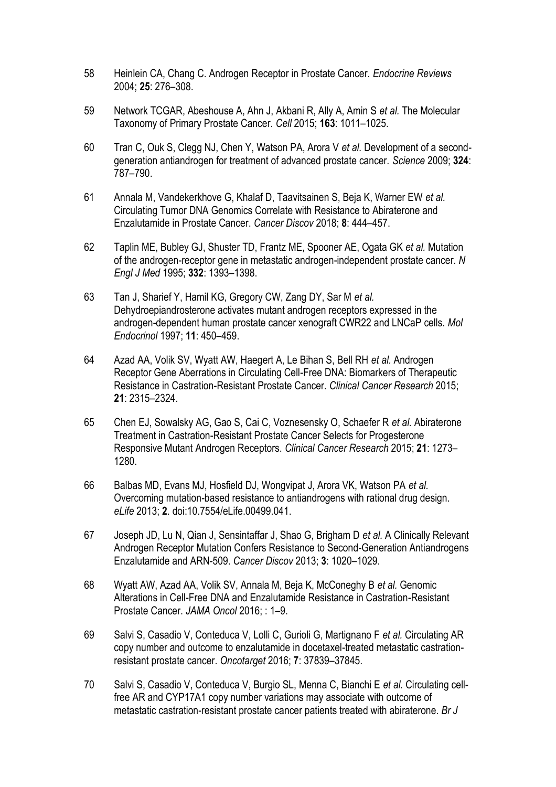- 58 Heinlein CA, Chang C. Androgen Receptor in Prostate Cancer. *Endocrine Reviews* 2004; **25**: 276–308.
- 59 Network TCGAR, Abeshouse A, Ahn J, Akbani R, Ally A, Amin S *et al.* The Molecular Taxonomy of Primary Prostate Cancer. *Cell* 2015; **163**: 1011–1025.
- 60 Tran C, Ouk S, Clegg NJ, Chen Y, Watson PA, Arora V *et al.* Development of a secondgeneration antiandrogen for treatment of advanced prostate cancer. *Science* 2009; **324**: 787–790.
- 61 Annala M, Vandekerkhove G, Khalaf D, Taavitsainen S, Beja K, Warner EW *et al.* Circulating Tumor DNA Genomics Correlate with Resistance to Abiraterone and Enzalutamide in Prostate Cancer. *Cancer Discov* 2018; **8**: 444–457.
- 62 Taplin ME, Bubley GJ, Shuster TD, Frantz ME, Spooner AE, Ogata GK *et al.* Mutation of the androgen-receptor gene in metastatic androgen-independent prostate cancer. *N Engl J Med* 1995; **332**: 1393–1398.
- 63 Tan J, Sharief Y, Hamil KG, Gregory CW, Zang DY, Sar M *et al.* Dehydroepiandrosterone activates mutant androgen receptors expressed in the androgen-dependent human prostate cancer xenograft CWR22 and LNCaP cells. *Mol Endocrinol* 1997; **11**: 450–459.
- 64 Azad AA, Volik SV, Wyatt AW, Haegert A, Le Bihan S, Bell RH *et al.* Androgen Receptor Gene Aberrations in Circulating Cell-Free DNA: Biomarkers of Therapeutic Resistance in Castration-Resistant Prostate Cancer. *Clinical Cancer Research* 2015; **21**: 2315–2324.
- 65 Chen EJ, Sowalsky AG, Gao S, Cai C, Voznesensky O, Schaefer R *et al.* Abiraterone Treatment in Castration-Resistant Prostate Cancer Selects for Progesterone Responsive Mutant Androgen Receptors. *Clinical Cancer Research* 2015; **21**: 1273– 1280.
- 66 Balbas MD, Evans MJ, Hosfield DJ, Wongvipat J, Arora VK, Watson PA *et al.* Overcoming mutation-based resistance to antiandrogens with rational drug design. *eLife* 2013; **2**. doi:10.7554/eLife.00499.041.
- 67 Joseph JD, Lu N, Qian J, Sensintaffar J, Shao G, Brigham D *et al.* A Clinically Relevant Androgen Receptor Mutation Confers Resistance to Second-Generation Antiandrogens Enzalutamide and ARN-509. *Cancer Discov* 2013; **3**: 1020–1029.
- 68 Wyatt AW, Azad AA, Volik SV, Annala M, Beja K, McConeghy B *et al.* Genomic Alterations in Cell-Free DNA and Enzalutamide Resistance in Castration-Resistant Prostate Cancer. *JAMA Oncol* 2016; : 1–9.
- 69 Salvi S, Casadio V, Conteduca V, Lolli C, Gurioli G, Martignano F *et al.* Circulating AR copy number and outcome to enzalutamide in docetaxel-treated metastatic castrationresistant prostate cancer. *Oncotarget* 2016; **7**: 37839–37845.
- 70 Salvi S, Casadio V, Conteduca V, Burgio SL, Menna C, Bianchi E *et al.* Circulating cellfree AR and CYP17A1 copy number variations may associate with outcome of metastatic castration-resistant prostate cancer patients treated with abiraterone. *Br J*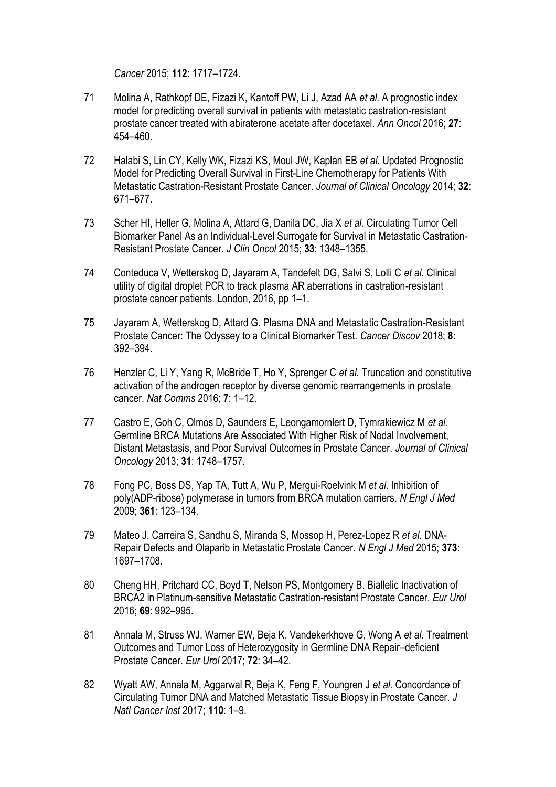*Cancer* 2015; **112**: 1717–1724.

- 71 Molina A, Rathkopf DE, Fizazi K, Kantoff PW, Li J, Azad AA *et al.* A prognostic index model for predicting overall survival in patients with metastatic castration-resistant prostate cancer treated with abiraterone acetate after docetaxel. *Ann Oncol* 2016; **27**: 454–460.
- 72 Halabi S, Lin CY, Kelly WK, Fizazi KS, Moul JW, Kaplan EB *et al.* Updated Prognostic Model for Predicting Overall Survival in First-Line Chemotherapy for Patients With Metastatic Castration-Resistant Prostate Cancer. *Journal of Clinical Oncology* 2014; **32**: 671–677.
- 73 Scher HI, Heller G, Molina A, Attard G, Danila DC, Jia X *et al.* Circulating Tumor Cell Biomarker Panel As an Individual-Level Surrogate for Survival in Metastatic Castration-Resistant Prostate Cancer. *J Clin Oncol* 2015; **33**: 1348–1355.
- 74 Conteduca V, Wetterskog D, Jayaram A, Tandefelt DG, Salvi S, Lolli C *et al.* Clinical utility of digital droplet PCR to track plasma AR aberrations in castration-resistant prostate cancer patients. London, 2016, pp 1–1.
- 75 Jayaram A, Wetterskog D, Attard G. Plasma DNA and Metastatic Castration-Resistant Prostate Cancer: The Odyssey to a Clinical Biomarker Test. *Cancer Discov* 2018; **8**: 392–394.
- 76 Henzler C, Li Y, Yang R, McBride T, Ho Y, Sprenger C *et al.* Truncation and constitutive activation of the androgen receptor by diverse genomic rearrangements in prostate cancer. *Nat Comms* 2016; **7**: 1–12.
- 77 Castro E, Goh C, Olmos D, Saunders E, Leongamornlert D, Tymrakiewicz M *et al.* Germline BRCA Mutations Are Associated With Higher Risk of Nodal Involvement, Distant Metastasis, and Poor Survival Outcomes in Prostate Cancer. *Journal of Clinical Oncology* 2013; **31**: 1748–1757.
- 78 Fong PC, Boss DS, Yap TA, Tutt A, Wu P, Mergui-Roelvink M *et al.* Inhibition of poly(ADP-ribose) polymerase in tumors from BRCA mutation carriers. *N Engl J Med* 2009; **361**: 123–134.
- 79 Mateo J, Carreira S, Sandhu S, Miranda S, Mossop H, Perez-Lopez R *et al.* DNA-Repair Defects and Olaparib in Metastatic Prostate Cancer. *N Engl J Med* 2015; **373**: 1697–1708.
- 80 Cheng HH, Pritchard CC, Boyd T, Nelson PS, Montgomery B. Biallelic Inactivation of BRCA2 in Platinum-sensitive Metastatic Castration-resistant Prostate Cancer. *Eur Urol* 2016; **69**: 992–995.
- 81 Annala M, Struss WJ, Warner EW, Beja K, Vandekerkhove G, Wong A *et al.* Treatment Outcomes and Tumor Loss of Heterozygosity in Germline DNA Repair–deficient Prostate Cancer. *Eur Urol* 2017; **72**: 34–42.
- 82 Wyatt AW, Annala M, Aggarwal R, Beja K, Feng F, Youngren J *et al.* Concordance of Circulating Tumor DNA and Matched Metastatic Tissue Biopsy in Prostate Cancer. *J Natl Cancer Inst* 2017; **110**: 1–9.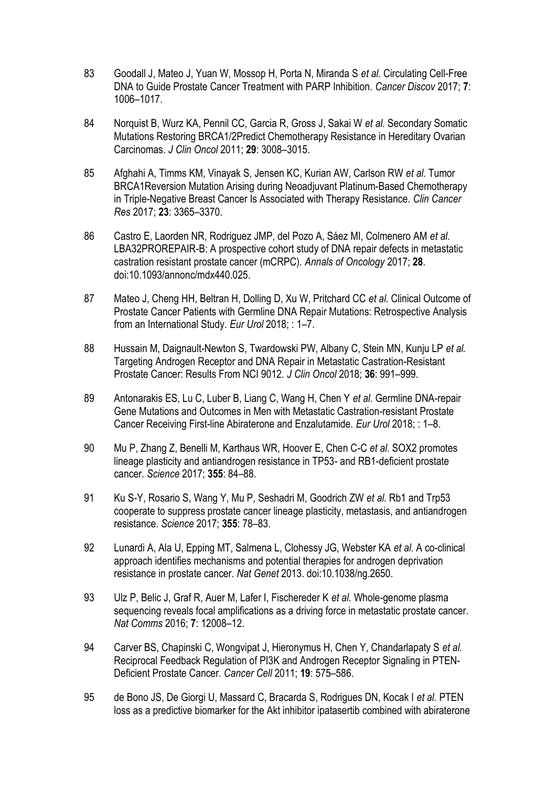- 83 Goodall J, Mateo J, Yuan W, Mossop H, Porta N, Miranda S *et al.* Circulating Cell-Free DNA to Guide Prostate Cancer Treatment with PARP Inhibition. *Cancer Discov* 2017; **7**: 1006–1017.
- 84 Norquist B, Wurz KA, Pennil CC, Garcia R, Gross J, Sakai W *et al.* Secondary Somatic Mutations Restoring BRCA1/2Predict Chemotherapy Resistance in Hereditary Ovarian Carcinomas. *J Clin Oncol* 2011; **29**: 3008–3015.
- 85 Afghahi A, Timms KM, Vinayak S, Jensen KC, Kurian AW, Carlson RW *et al.* Tumor BRCA1Reversion Mutation Arising during Neoadjuvant Platinum-Based Chemotherapy in Triple-Negative Breast Cancer Is Associated with Therapy Resistance. *Clin Cancer Res* 2017; **23**: 3365–3370.
- 86 Castro E, Laorden NR, Rodriguez JMP, del Pozo A, Sáez MI, Colmenero AM *et al.* LBA32PROREPAIR-B: A prospective cohort study of DNA repair defects in metastatic castration resistant prostate cancer (mCRPC). *Annals of Oncology* 2017; **28**. doi:10.1093/annonc/mdx440.025.
- 87 Mateo J, Cheng HH, Beltran H, Dolling D, Xu W, Pritchard CC *et al.* Clinical Outcome of Prostate Cancer Patients with Germline DNA Repair Mutations: Retrospective Analysis from an International Study. *Eur Urol* 2018; : 1–7.
- 88 Hussain M, Daignault-Newton S, Twardowski PW, Albany C, Stein MN, Kunju LP *et al.* Targeting Androgen Receptor and DNA Repair in Metastatic Castration-Resistant Prostate Cancer: Results From NCI 9012. *J Clin Oncol* 2018; **36**: 991–999.
- 89 Antonarakis ES, Lu C, Luber B, Liang C, Wang H, Chen Y *et al.* Germline DNA-repair Gene Mutations and Outcomes in Men with Metastatic Castration-resistant Prostate Cancer Receiving First-line Abiraterone and Enzalutamide. *Eur Urol* 2018; : 1–8.
- 90 Mu P, Zhang Z, Benelli M, Karthaus WR, Hoover E, Chen C-C *et al.* SOX2 promotes lineage plasticity and antiandrogen resistance in TP53- and RB1-deficient prostate cancer. *Science* 2017; **355**: 84–88.
- 91 Ku S-Y, Rosario S, Wang Y, Mu P, Seshadri M, Goodrich ZW *et al.* Rb1 and Trp53 cooperate to suppress prostate cancer lineage plasticity, metastasis, and antiandrogen resistance. *Science* 2017; **355**: 78–83.
- 92 Lunardi A, Ala U, Epping MT, Salmena L, Clohessy JG, Webster KA *et al.* A co-clinical approach identifies mechanisms and potential therapies for androgen deprivation resistance in prostate cancer. *Nat Genet* 2013. doi:10.1038/ng.2650.
- 93 Ulz P, Belic J, Graf R, Auer M, Lafer I, Fischereder K *et al.* Whole-genome plasma sequencing reveals focal amplifications as a driving force in metastatic prostate cancer. *Nat Comms* 2016; **7**: 12008–12.
- 94 Carver BS, Chapinski C, Wongvipat J, Hieronymus H, Chen Y, Chandarlapaty S *et al.* Reciprocal Feedback Regulation of PI3K and Androgen Receptor Signaling in PTEN-Deficient Prostate Cancer. *Cancer Cell* 2011; **19**: 575–586.
- 95 de Bono JS, De Giorgi U, Massard C, Bracarda S, Rodrigues DN, Kocak I *et al.* PTEN loss as a predictive biomarker for the Akt inhibitor ipatasertib combined with abiraterone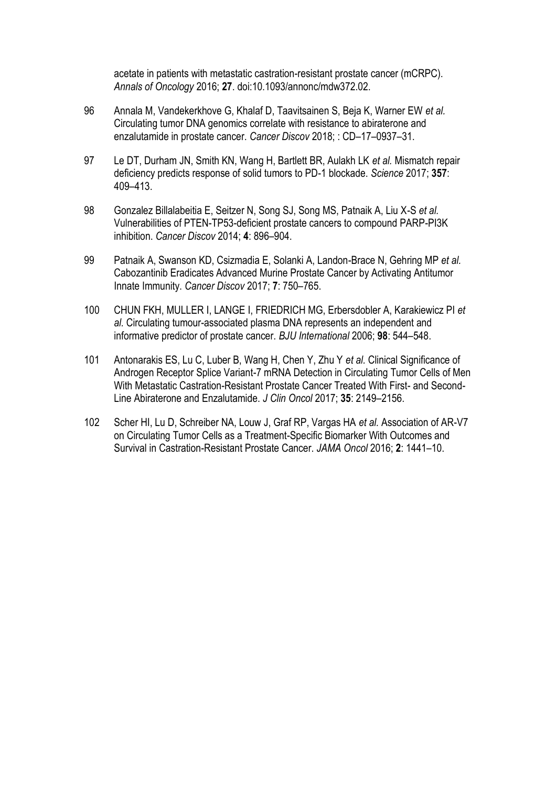acetate in patients with metastatic castration-resistant prostate cancer (mCRPC). *Annals of Oncology* 2016; **27**. doi:10.1093/annonc/mdw372.02.

- 96 Annala M, Vandekerkhove G, Khalaf D, Taavitsainen S, Beja K, Warner EW *et al.* Circulating tumor DNA genomics correlate with resistance to abiraterone and enzalutamide in prostate cancer. *Cancer Discov* 2018; : CD–17–0937–31.
- 97 Le DT, Durham JN, Smith KN, Wang H, Bartlett BR, Aulakh LK *et al.* Mismatch repair deficiency predicts response of solid tumors to PD-1 blockade. *Science* 2017; **357**: 409–413.
- 98 Gonzalez Billalabeitia E, Seitzer N, Song SJ, Song MS, Patnaik A, Liu X-S *et al.* Vulnerabilities of PTEN-TP53-deficient prostate cancers to compound PARP-PI3K inhibition. *Cancer Discov* 2014; **4**: 896–904.
- 99 Patnaik A, Swanson KD, Csizmadia E, Solanki A, Landon-Brace N, Gehring MP *et al.* Cabozantinib Eradicates Advanced Murine Prostate Cancer by Activating Antitumor Innate Immunity. *Cancer Discov* 2017; **7**: 750–765.
- 100 CHUN FKH, MULLER I, LANGE I, FRIEDRICH MG, Erbersdobler A, Karakiewicz PI *et al.* Circulating tumour-associated plasma DNA represents an independent and informative predictor of prostate cancer. *BJU International* 2006; **98**: 544–548.
- 101 Antonarakis ES, Lu C, Luber B, Wang H, Chen Y, Zhu Y *et al.* Clinical Significance of Androgen Receptor Splice Variant-7 mRNA Detection in Circulating Tumor Cells of Men With Metastatic Castration-Resistant Prostate Cancer Treated With First- and Second-Line Abiraterone and Enzalutamide. *J Clin Oncol* 2017; **35**: 2149–2156.
- 102 Scher HI, Lu D, Schreiber NA, Louw J, Graf RP, Vargas HA *et al.* Association of AR-V7 on Circulating Tumor Cells as a Treatment-Specific Biomarker With Outcomes and Survival in Castration-Resistant Prostate Cancer. *JAMA Oncol* 2016; **2**: 1441–10.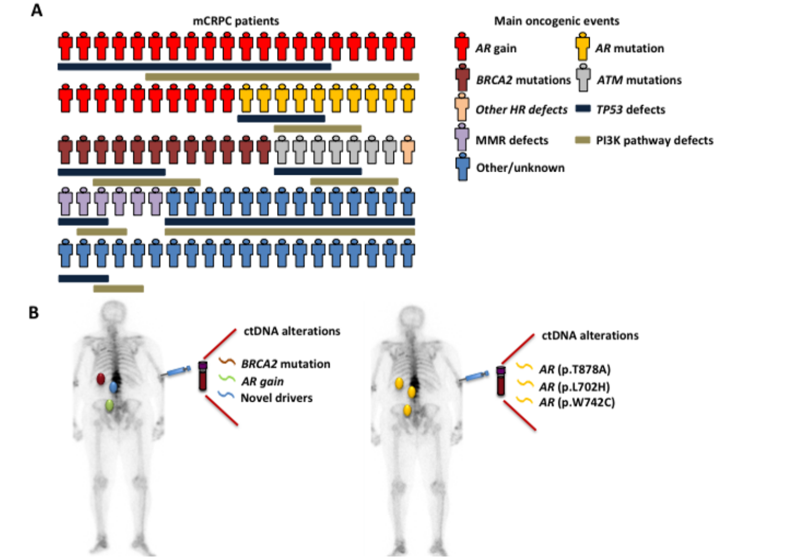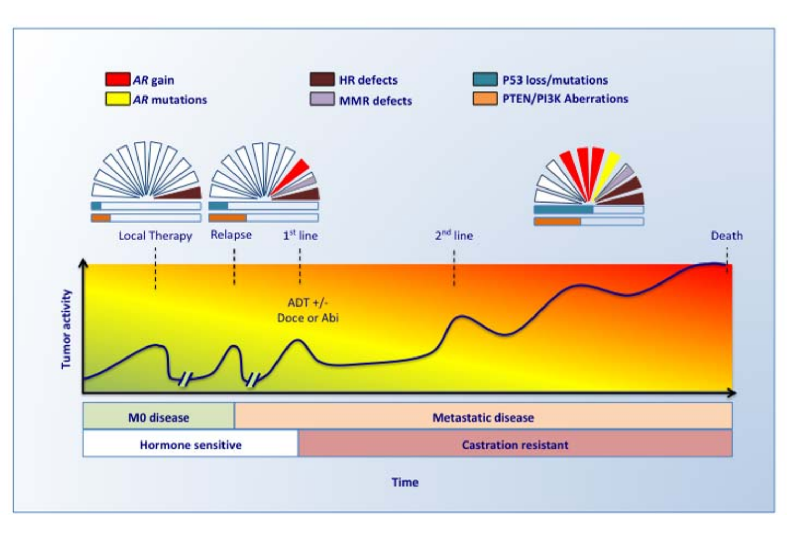